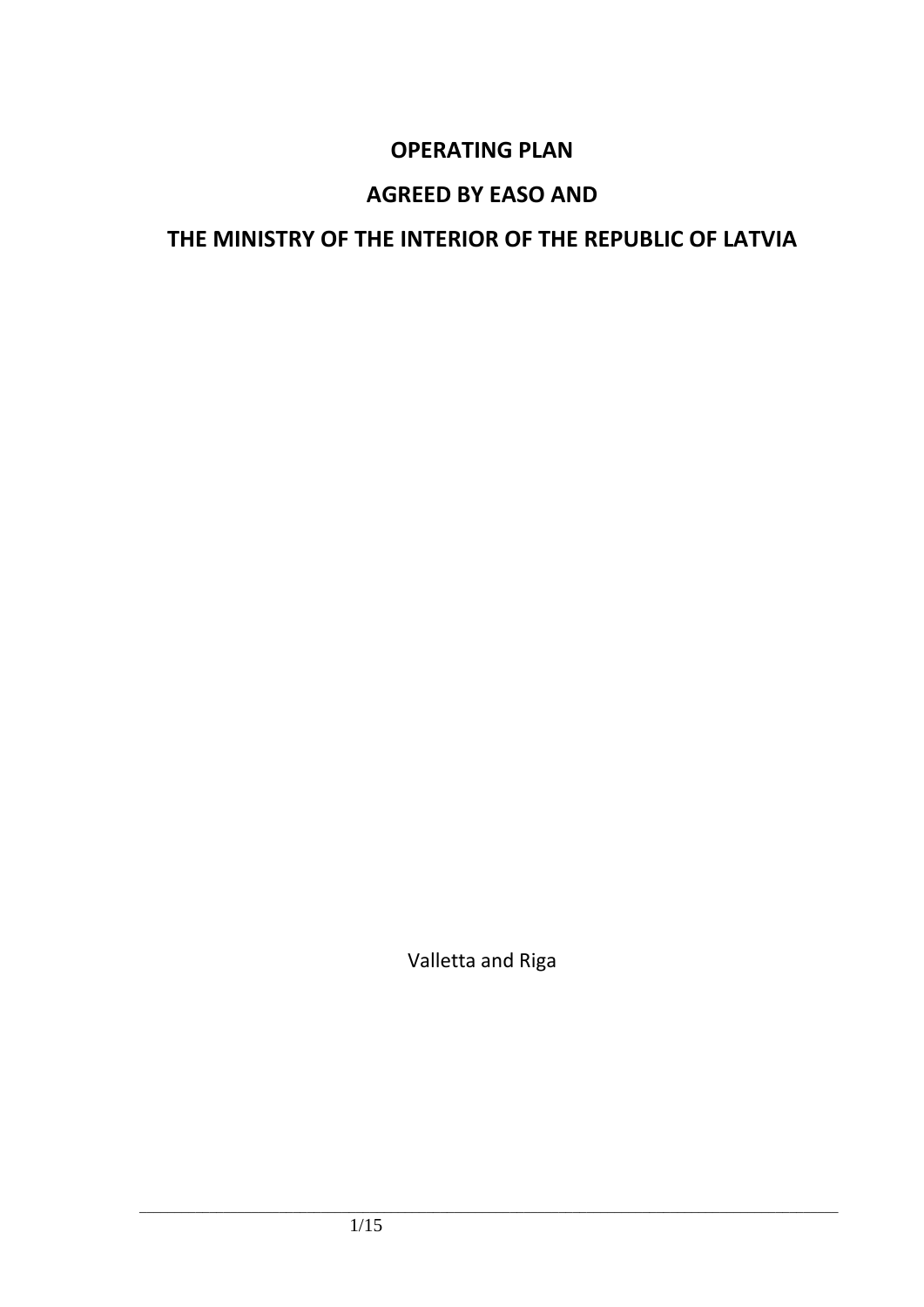# **OPERATING PLAN**

# **AGREED BY EASO AND**

# **THE MINISTRY OF THE INTERIOR OF THE REPUBLIC OF LATVIA**

Valletta and Riga

THE REPUBDCxE2u PTHE REP R[/MCI BD/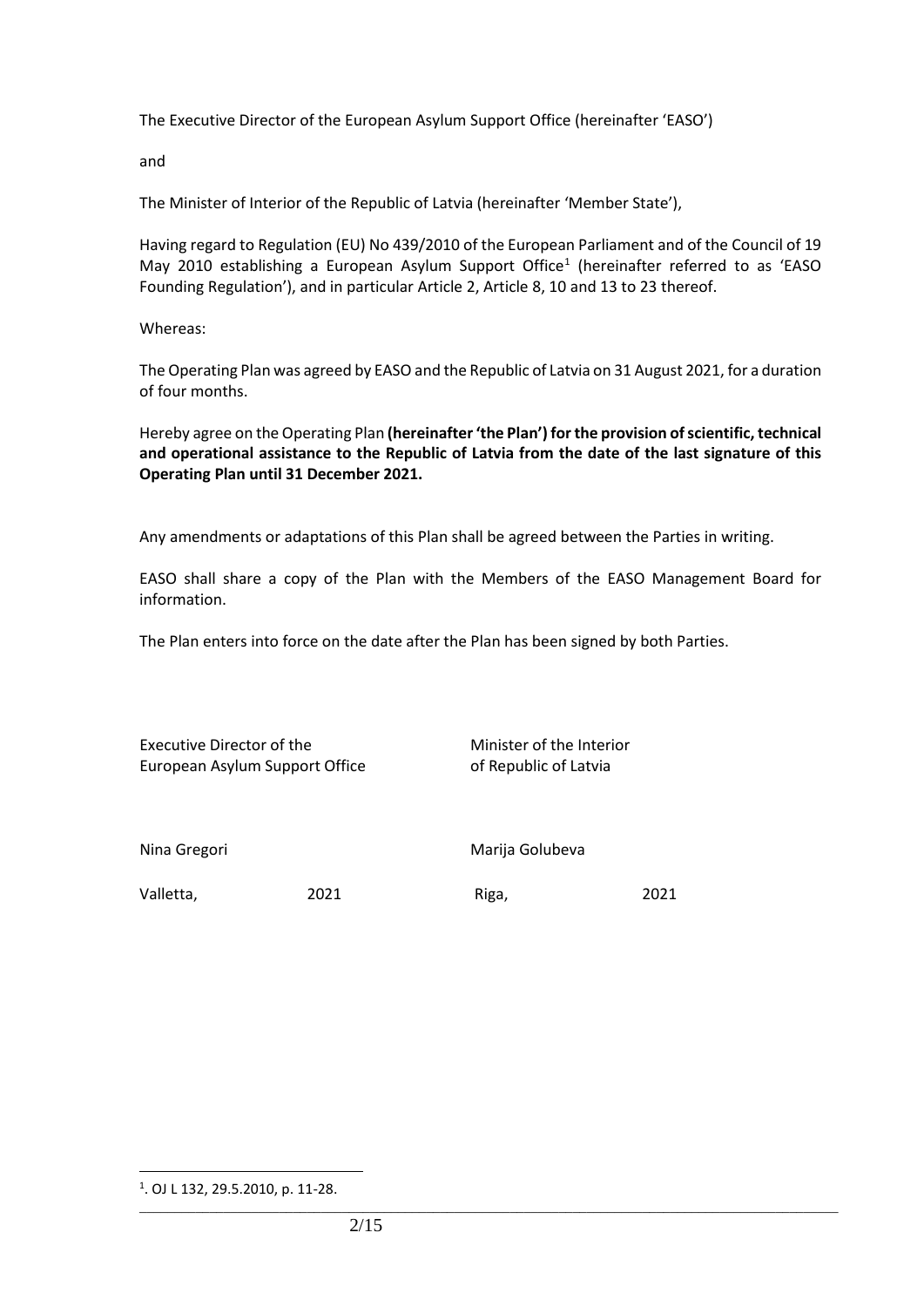The Executive Director of the European Asylum Support Office (hereinafter 'EASO')

and

The Minister of Interior of the Republic of Latvia (hereinafter 'Member State'),

Having regard to Regulation (EU) No 439/2010 of the European Parliament and of the Council of 19 May 20[1](#page-1-0)0 establishing a European Asylum Support Office<sup>1</sup> (hereinafter referred to as 'EASO Founding Regulation'), and in particular Article 2, Article 8, 10 and 13 to 23 thereof.

Whereas:

The Operating Plan was agreed by EASO and the Republic of Latvia on 31 August 2021, for a duration of four months.

Hereby agree on the Operating Plan **(hereinafter 'the Plan') for the provision of scientific, technical and operational assistance to the Republic of Latvia from the date of the last signature of this Operating Plan until 31 December 2021.**

Any amendments or adaptations of this Plan shall be agreed between the Parties in writing.

EASO shall share a copy of the Plan with the Members of the EASO Management Board for information.

The Plan enters into force on the date after the Plan has been signed by both Parties.

Executive Director of the European Asylum Support Office

Minister of the Interior of Republic of Latvia

Nina Gregori **Marija Golubeva** Marija Golubeva

\_\_\_\_\_\_\_\_\_\_\_\_\_\_\_\_\_\_\_\_\_\_\_\_\_\_\_\_\_\_\_\_\_\_\_\_\_\_\_\_\_\_\_\_\_\_\_\_\_\_\_\_\_\_\_\_\_\_\_\_\_\_\_\_\_\_\_\_\_\_\_\_\_\_\_\_\_\_\_\_\_\_\_\_\_\_\_\_\_\_\_\_\_\_\_\_\_\_\_\_

Valletta, 2021 Riga, 2021

<span id="page-1-0"></span><sup>1</sup> . OJ L 132, 29.5.2010, p. 11-28.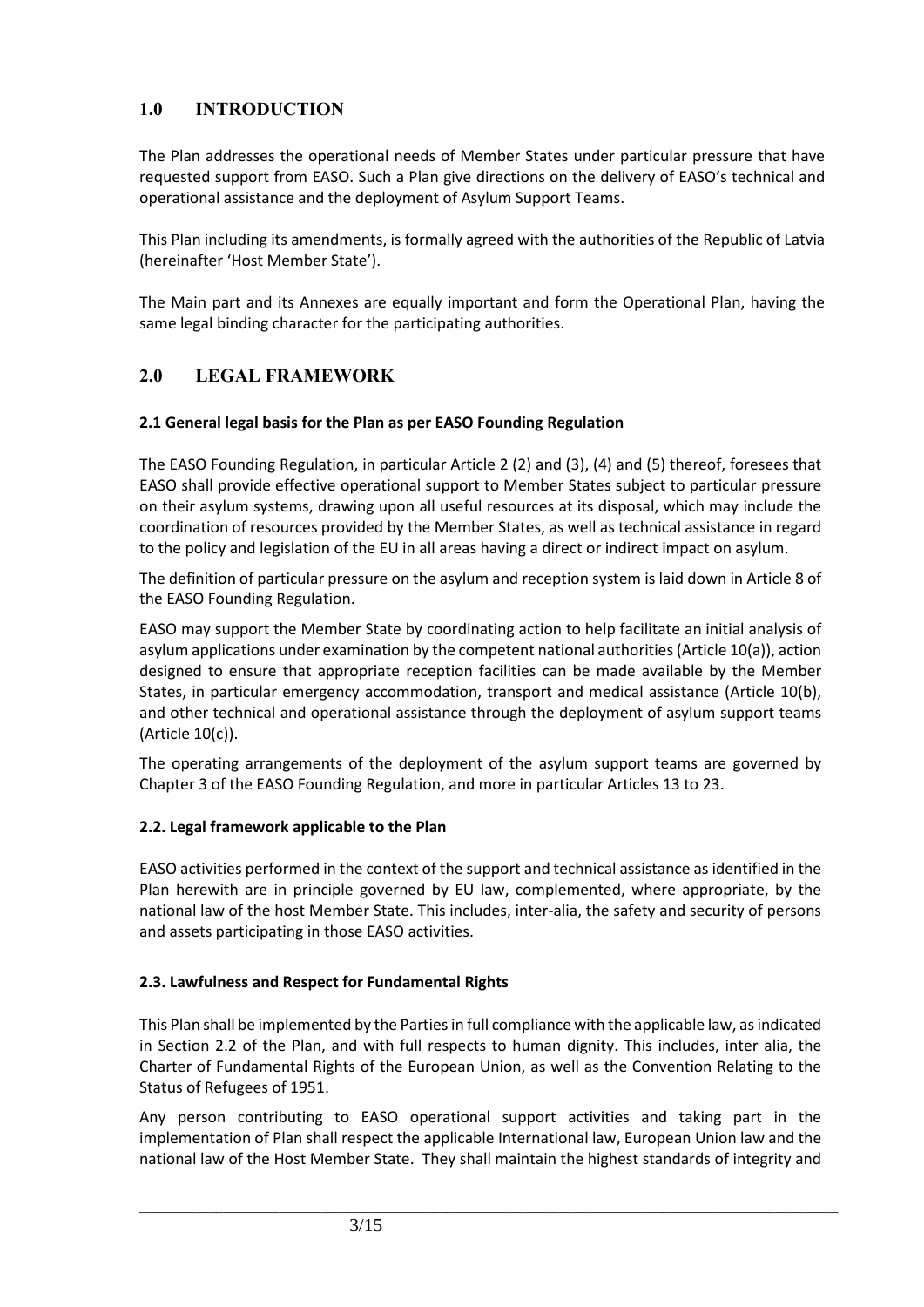# **1.0 INTRODUCTION**

The Plan addresses the operational needs of Member States under particular pressure that have requested support from EASO. Such a Plan give directions on the delivery of EASO's technical and operational assistance and the deployment of Asylum Support Teams.

This Plan including its amendments, is formally agreed with the authorities of the Republic of Latvia (hereinafter 'Host Member State').

The Main part and its Annexes are equally important and form the Operational Plan, having the same legal binding character for the participating authorities.

# **2.0 LEGAL FRAMEWORK**

#### **2.1 General legal basis for the Plan as per EASO Founding Regulation**

The EASO Founding Regulation, in particular Article 2 (2) and (3), (4) and (5) thereof, foresees that EASO shall provide effective operational support to Member States subject to particular pressure on their asylum systems, drawing upon all useful resources at its disposal, which may include the coordination of resources provided by the Member States, as well as technical assistance in regard to the policy and legislation of the EU in all areas having a direct or indirect impact on asylum.

The definition of particular pressure on the asylum and reception system is laid down in Article 8 of the EASO Founding Regulation.

EASO may support the Member State by coordinating action to help facilitate an initial analysis of asylum applications under examination by the competent national authorities (Article 10(a)), action designed to ensure that appropriate reception facilities can be made available by the Member States, in particular emergency accommodation, transport and medical assistance (Article 10(b), and other technical and operational assistance through the deployment of asylum support teams (Article 10(c)).

The operating arrangements of the deployment of the asylum support teams are governed by Chapter 3 of the EASO Founding Regulation, and more in particular Articles 13 to 23.

#### **2.2. Legal framework applicable to the Plan**

EASO activities performed in the context of the support and technical assistance as identified in the Plan herewith are in principle governed by EU law, complemented, where appropriate, by the national law of the host Member State. This includes, inter-alia, the safety and security of persons and assets participating in those EASO activities.

#### **2.3. Lawfulness and Respect for Fundamental Rights**

This Plan shall be implemented by the Parties in full compliance with the applicable law, as indicated in Section 2.2 of the Plan, and with full respects to human dignity. This includes, inter alia, the Charter of Fundamental Rights of the European Union, as well as the Convention Relating to the Status of Refugees of 1951.

Any person contributing to EASO operational support activities and taking part in the implementation of Plan shall respect the applicable International law, European Union law and the national law of the Host Member State. They shall maintain the highest standards of integrity and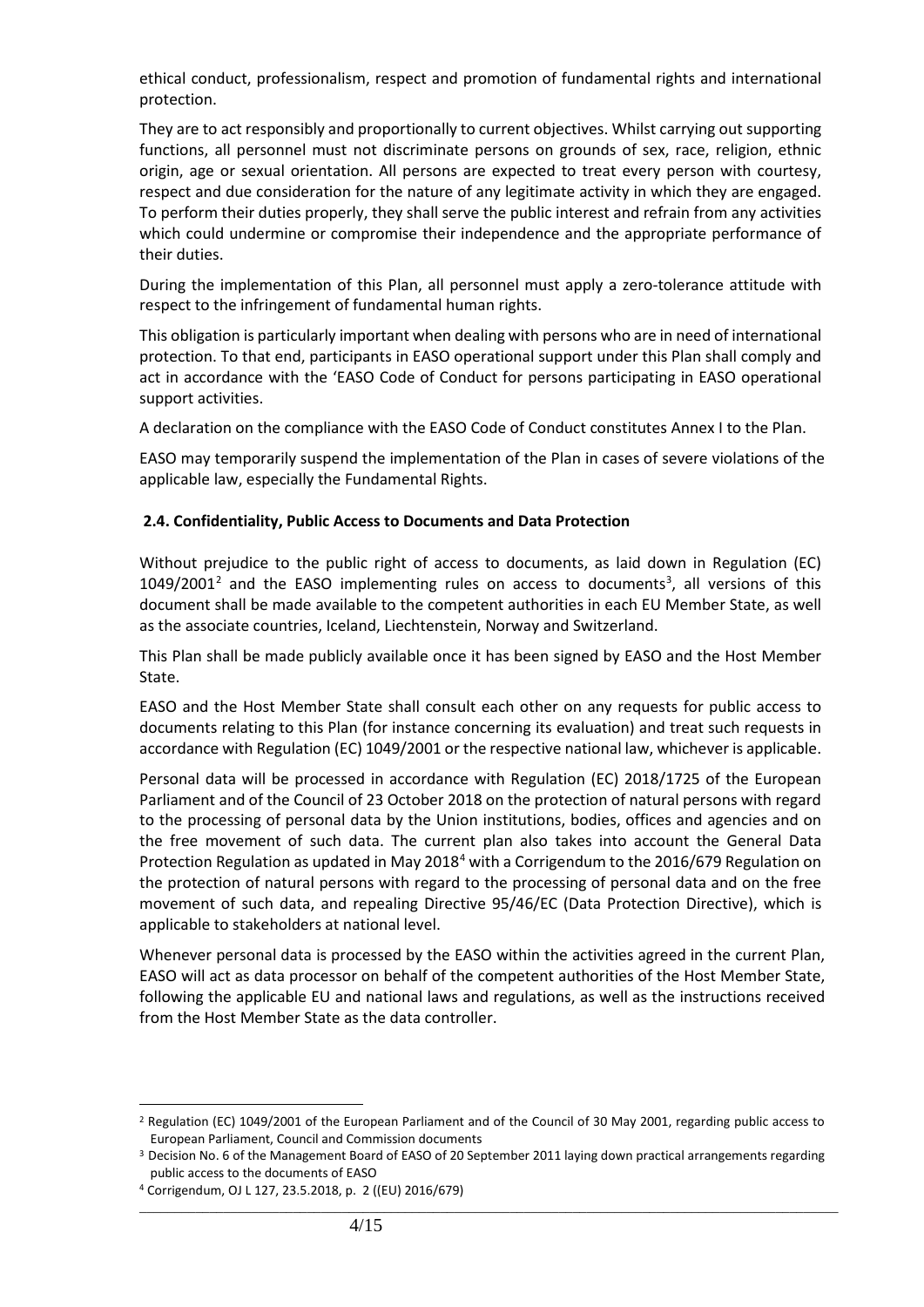ethical conduct, professionalism, respect and promotion of fundamental rights and international protection.

They are to act responsibly and proportionally to current objectives. Whilst carrying out supporting functions, all personnel must not discriminate persons on grounds of sex, race, religion, ethnic origin, age or sexual orientation. All persons are expected to treat every person with courtesy, respect and due consideration for the nature of any legitimate activity in which they are engaged. To perform their duties properly, they shall serve the public interest and refrain from any activities which could undermine or compromise their independence and the appropriate performance of their duties.

During the implementation of this Plan, all personnel must apply a zero-tolerance attitude with respect to the infringement of fundamental human rights.

This obligation is particularly important when dealing with persons who are in need of international protection. To that end, participants in EASO operational support under this Plan shall comply and act in accordance with the 'EASO Code of Conduct for persons participating in EASO operational support activities.

A declaration on the compliance with the EASO Code of Conduct constitutes Annex I to the Plan.

EASO may temporarily suspend the implementation of the Plan in cases of severe violations of the applicable law, especially the Fundamental Rights.

#### **2.4. Confidentiality, Public Access to Documents and Data Protection**

Without prejudice to the public right of access to documents, as laid down in Regulation (EC)  $1049/2001<sup>2</sup>$  $1049/2001<sup>2</sup>$  $1049/2001<sup>2</sup>$  and the EASO implementing rules on access to documents<sup>3</sup>, all versions of this document shall be made available to the competent authorities in each EU Member State, as well as the associate countries, Iceland, Liechtenstein, Norway and Switzerland.

This Plan shall be made publicly available once it has been signed by EASO and the Host Member State.

EASO and the Host Member State shall consult each other on any requests for public access to documents relating to this Plan (for instance concerning its evaluation) and treat such requests in accordance with Regulation (EC) 1049/2001 or the respective national law, whichever is applicable.

Personal data will be processed in accordance with Regulation (EC) 2018/1725 of the European Parliament and of the Council of 23 October 2018 on the protection of natural persons with regard to the processing of personal data by the Union institutions, bodies, offices and agencies and on the free movement of such data. The current plan also takes into account the General Data Protection Regulation as updated in May 2018[4](#page-3-2) with a Corrigendum to the 2016/679 Regulation on the protection of natural persons with regard to the processing of personal data and on the free movement of such data, and repealing Directive 95/46/EC (Data Protection Directive), which is applicable to stakeholders at national level.

Whenever personal data is processed by the EASO within the activities agreed in the current Plan, EASO will act as data processor on behalf of the competent authorities of the Host Member State, following the applicable EU and national laws and regulations, as well as the instructions received from the Host Member State as the data controller.

<span id="page-3-0"></span><sup>2</sup> Regulation (EC) 1049/2001 of the European Parliament and of the Council of 30 May 2001, regarding public access to European Parliament, Council and Commission documents

<span id="page-3-1"></span><sup>3</sup> Decision No. 6 of the Management Board of EASO of 20 September 2011 laying down practical arrangements regarding public access to the documents of EASO

<span id="page-3-2"></span><sup>4</sup> Corrigendum, OJ L 127, 23.5.2018, p. 2 ((EU) 2016/679)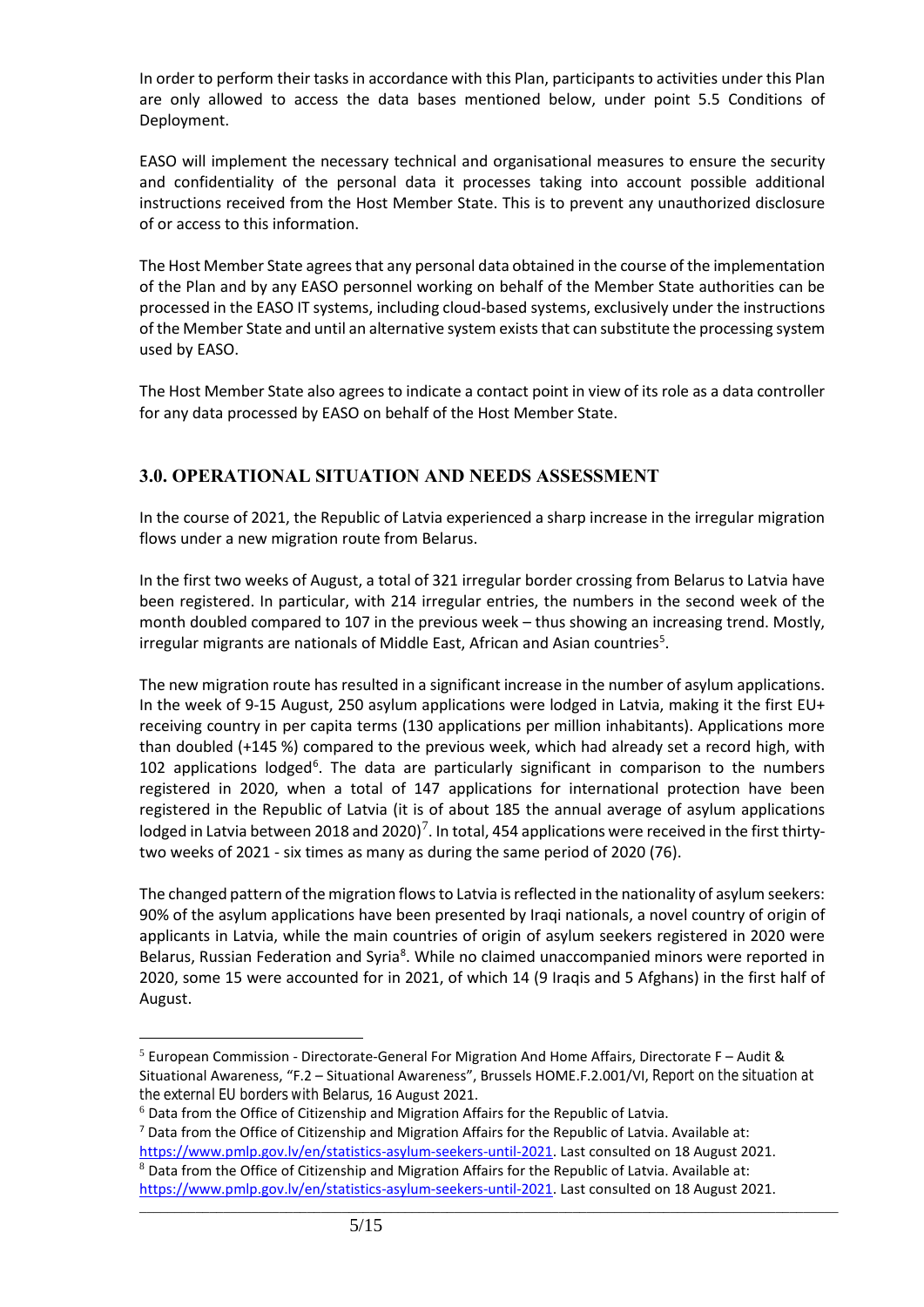In order to perform their tasks in accordance with this Plan, participants to activities under this Plan are only allowed to access the data bases mentioned below, under point 5.5 Conditions of Deployment.

EASO will implement the necessary technical and organisational measures to ensure the security and confidentiality of the personal data it processes taking into account possible additional instructions received from the Host Member State. This is to prevent any unauthorized disclosure of or access to this information.

The Host Member State agrees that any personal data obtained in the course of the implementation of the Plan and by any EASO personnel working on behalf of the Member State authorities can be processed in the EASO IT systems, including cloud-based systems, exclusively under the instructions of the Member State and until an alternative system exists that can substitute the processing system used by EASO.

The Host Member State also agrees to indicate a contact point in view of its role as a data controller for any data processed by EASO on behalf of the Host Member State.

# **3.0. OPERATIONAL SITUATION AND NEEDS ASSESSMENT**

In the course of 2021, the Republic of Latvia experienced a sharp increase in the irregular migration flows under a new migration route from Belarus.

In the first two weeks of August, a total of 321 irregular border crossing from Belarus to Latvia have been registered. In particular, with 214 irregular entries, the numbers in the second week of the month doubled compared to 107 in the previous week – thus showing an increasing trend. Mostly, irregular migrants are nationals of Middle East, African and Asian countries<sup>[5](#page-4-0)</sup>.

The new migration route has resulted in a significant increase in the number of asylum applications. In the week of 9-15 August, 250 asylum applications were lodged in Latvia, making it the first EU+ receiving country in per capita terms (130 applications per million inhabitants). Applications more than doubled (+145 %) compared to the previous week, which had already set a record high, with 102 applications lodged<sup>[6](#page-4-1)</sup>. The data are particularly significant in comparison to the numbers registered in 2020, when a total of 147 applications for international protection have been registered in the Republic of Latvia (it is of about 185 the annual average of asylum applications lodged in Latvia between 2018 and 2020) $^7$  $^7$ . In total, 454 applications were received in the first thirtytwo weeks of 2021 - six times as many as during the same period of 2020 (76).

The changed pattern of the migration flows to Latvia is reflected in the nationality of asylum seekers: 90% of the asylum applications have been presented by Iraqi nationals, a novel country of origin of applicants in Latvia, while the main countries of origin of asylum seekers registered in 2020 were Belarus, Russian Federation and Syria<sup>[8](#page-4-3)</sup>. While no claimed unaccompanied minors were reported in 2020, some 15 were accounted for in 2021, of which 14 (9 Iraqis and 5 Afghans) in the first half of August.

<span id="page-4-0"></span> $5$  European Commission - Directorate-General For Migration And Home Affairs, Directorate F – Audit & Situational Awareness, "F.2 – Situational Awareness", Brussels HOME.F.2.001/VI, *Report on the situation at the external EU borders with Belarus*, 16 August 2021.

<span id="page-4-1"></span><sup>6</sup> Data from the Office of Citizenship and Migration Affairs for the Republic of Latvia.

<span id="page-4-3"></span><span id="page-4-2"></span> $7$  Data from the Office of Citizenship and Migration Affairs for the Republic of Latvia. Available at: [https://www.pmlp.gov.lv/en/statistics-asylum-seekers-until-2021.](https://www.pmlp.gov.lv/en/statistics-asylum-seekers-until-2021) Last consulted on 18 August 2021. <sup>8</sup> Data from the Office of Citizenship and Migration Affairs for the Republic of Latvia. Available at: [https://www.pmlp.gov.lv/en/statistics-asylum-seekers-until-2021.](https://www.pmlp.gov.lv/en/statistics-asylum-seekers-until-2021) Last consulted on 18 August 2021.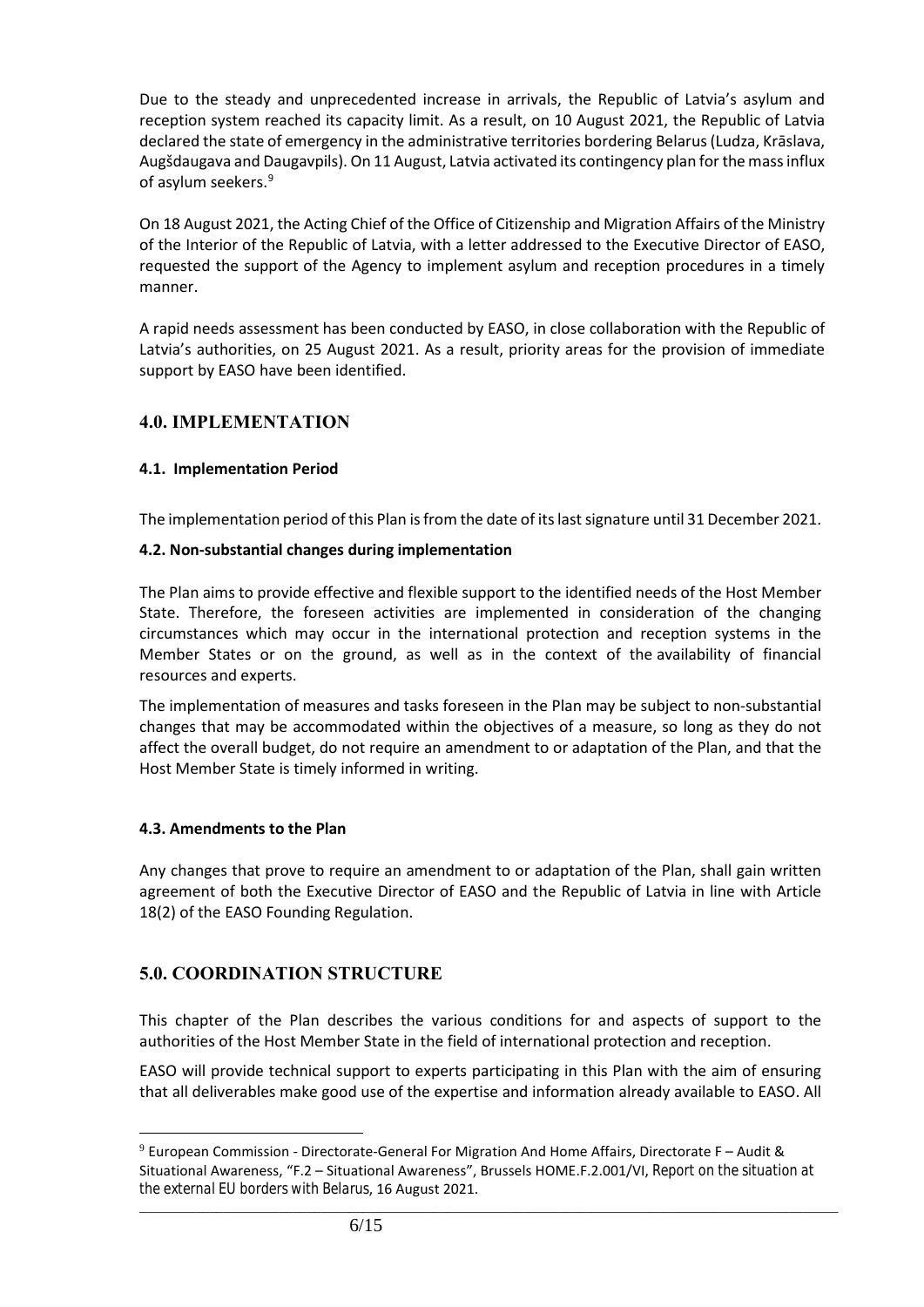Due to the steady and unprecedented increase in arrivals, the Republic of Latvia's asylum and reception system reached its capacity limit. As a result, on 10 August 2021, the Republic of Latvia declared the state of emergency in the administrative territories bordering Belarus(Ludza, Krāslava, Augšdaugava and Daugavpils). On 11 August, Latvia activated its contingency plan for the mass influx of asylum seekers.<sup>[9](#page-5-0)</sup>

On 18 August 2021, the Acting Chief of the Office of Citizenship and Migration Affairs of the Ministry of the Interior of the Republic of Latvia, with a letter addressed to the Executive Director of EASO, requested the support of the Agency to implement asylum and reception procedures in a timely manner.

A rapid needs assessment has been conducted by EASO, in close collaboration with the Republic of Latvia's authorities, on 25 August 2021. As a result, priority areas for the provision of immediate support by EASO have been identified.

# **4.0. IMPLEMENTATION**

# **4.1. Implementation Period**

The implementation period of this Plan is from the date of its last signature until 31 December 2021.

### **4.2. Non-substantial changes during implementation**

The Plan aims to provide effective and flexible support to the identified needs of the Host Member State. Therefore, the foreseen activities are implemented in consideration of the changing circumstances which may occur in the international protection and reception systems in the Member States or on the ground, as well as in the context of the availability of financial resources and experts.

The implementation of measures and tasks foreseen in the Plan may be subject to non-substantial changes that may be accommodated within the objectives of a measure, so long as they do not affect the overall budget, do not require an amendment to or adaptation of the Plan, and that the Host Member State is timely informed in writing.

# **4.3. Amendments to the Plan**

Any changes that prove to require an amendment to or adaptation of the Plan, shall gain written agreement of both the Executive Director of EASO and the Republic of Latvia in line with Article 18(2) of the EASO Founding Regulation.

# **5.0. COORDINATION STRUCTURE**

This chapter of the Plan describes the various conditions for and aspects of support to the authorities of the Host Member State in the field of international protection and reception.

EASO will provide technical support to experts participating in this Plan with the aim of ensuring that all deliverables make good use of the expertise and information already available to EASO. All

<span id="page-5-0"></span> $9$  European Commission - Directorate-General For Migration And Home Affairs, Directorate F – Audit & Situational Awareness, "F.2 – Situational Awareness", Brussels HOME.F.2.001/VI, *Report on the situation at the external EU borders with Belarus*, 16 August 2021.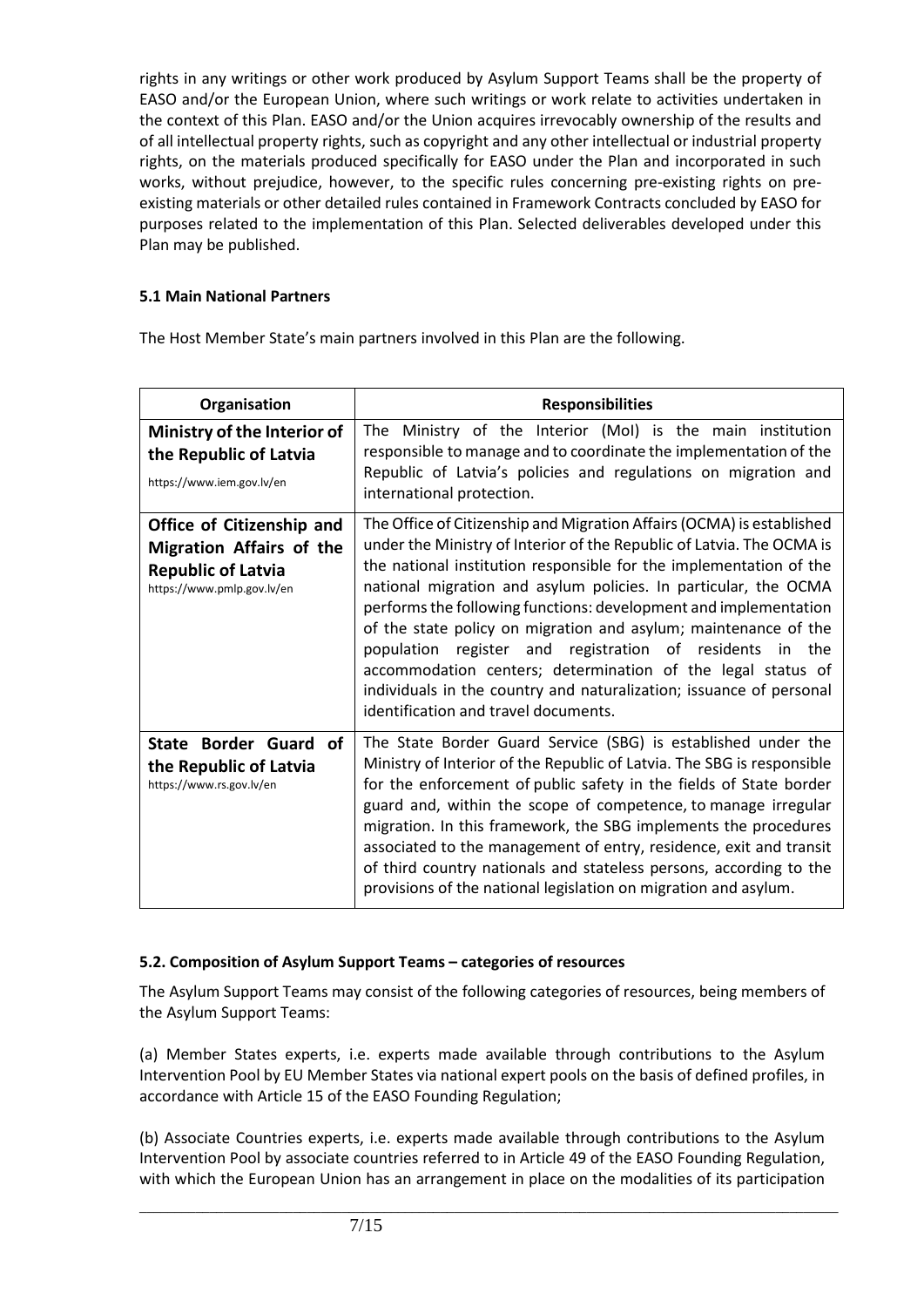rights in any writings or other work produced by Asylum Support Teams shall be the property of EASO and/or the European Union, where such writings or work relate to activities undertaken in the context of this Plan. EASO and/or the Union acquires irrevocably ownership of the results and of all intellectual property rights, such as copyright and any other intellectual or industrial property rights, on the materials produced specifically for EASO under the Plan and incorporated in such works, without prejudice, however, to the specific rules concerning pre-existing rights on preexisting materials or other detailed rules contained in Framework Contracts concluded by EASO for purposes related to the implementation of this Plan. Selected deliverables developed under this Plan may be published.

## **5.1 Main National Partners**

The Host Member State's main partners involved in this Plan are the following.

| Organisation                                                                                                            | <b>Responsibilities</b>                                                                                                                                                                                                                                                                                                                                                                                                                                                                                                                                                                                                                                                     |
|-------------------------------------------------------------------------------------------------------------------------|-----------------------------------------------------------------------------------------------------------------------------------------------------------------------------------------------------------------------------------------------------------------------------------------------------------------------------------------------------------------------------------------------------------------------------------------------------------------------------------------------------------------------------------------------------------------------------------------------------------------------------------------------------------------------------|
| Ministry of the Interior of<br>the Republic of Latvia<br>https://www.iem.gov.lv/en                                      | The Ministry of the Interior (MoI) is the main institution<br>responsible to manage and to coordinate the implementation of the<br>Republic of Latvia's policies and regulations on migration and<br>international protection.                                                                                                                                                                                                                                                                                                                                                                                                                                              |
| Office of Citizenship and<br><b>Migration Affairs of the</b><br><b>Republic of Latvia</b><br>https://www.pmlp.gov.lv/en | The Office of Citizenship and Migration Affairs (OCMA) is established<br>under the Ministry of Interior of the Republic of Latvia. The OCMA is<br>the national institution responsible for the implementation of the<br>national migration and asylum policies. In particular, the OCMA<br>performs the following functions: development and implementation<br>of the state policy on migration and asylum; maintenance of the<br>population register and registration of residents<br>in the<br>accommodation centers; determination of the legal status of<br>individuals in the country and naturalization; issuance of personal<br>identification and travel documents. |
| State Border Guard of<br>the Republic of Latvia<br>https://www.rs.gov.lv/en                                             | The State Border Guard Service (SBG) is established under the<br>Ministry of Interior of the Republic of Latvia. The SBG is responsible<br>for the enforcement of public safety in the fields of State border<br>guard and, within the scope of competence, to manage irregular<br>migration. In this framework, the SBG implements the procedures<br>associated to the management of entry, residence, exit and transit<br>of third country nationals and stateless persons, according to the<br>provisions of the national legislation on migration and asylum.                                                                                                           |

# **5.2. Composition of Asylum Support Teams – categories of resources**

The Asylum Support Teams may consist of the following categories of resources, being members of the Asylum Support Teams:

(a) Member States experts, i.e. experts made available through contributions to the Asylum Intervention Pool by EU Member States via national expert pools on the basis of defined profiles, in accordance with Article 15 of the EASO Founding Regulation;

(b) Associate Countries experts, i.e. experts made available through contributions to the Asylum Intervention Pool by associate countries referred to in Article 49 of the EASO Founding Regulation, with which the European Union has an arrangement in place on the modalities of its participation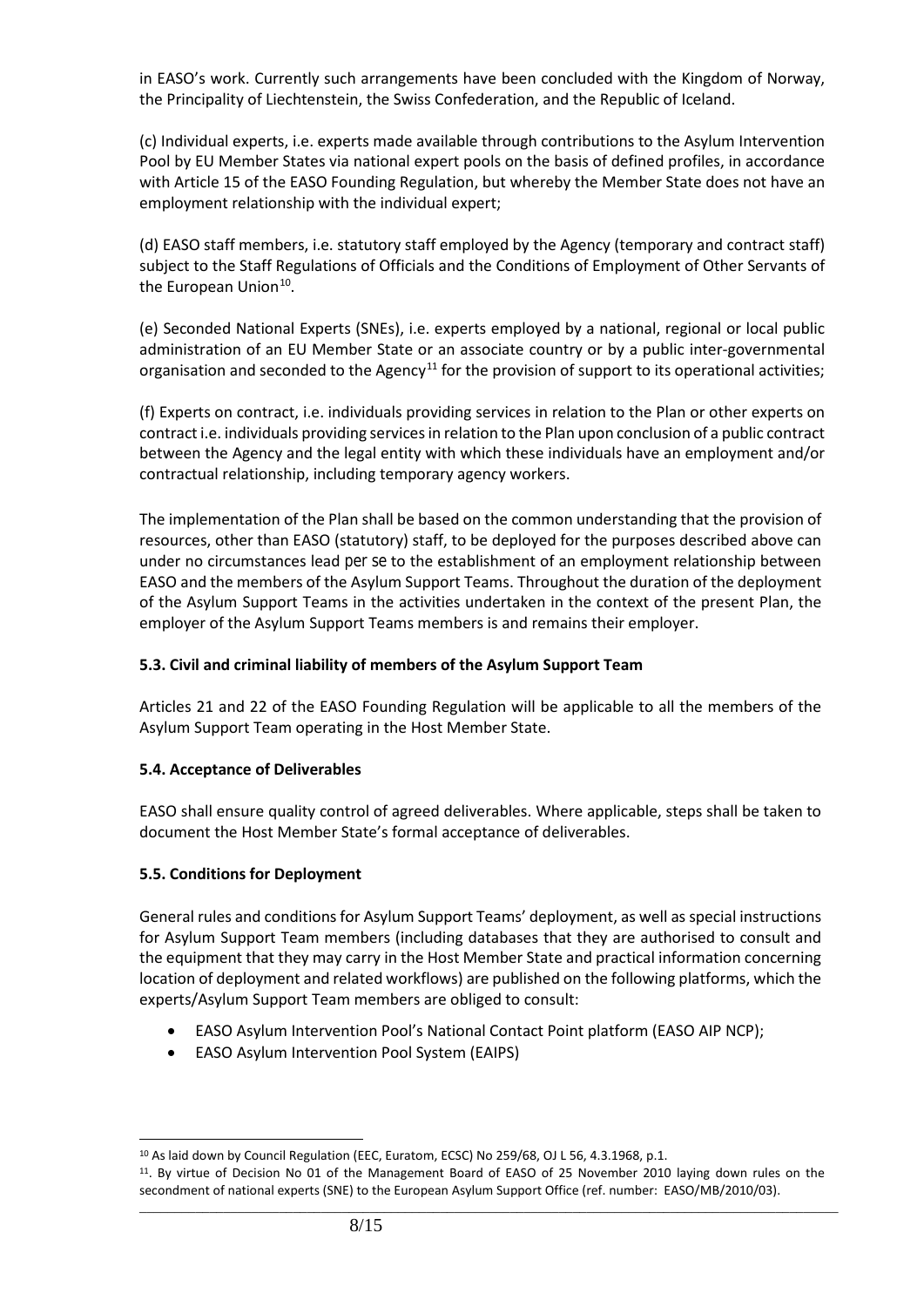in EASO's work. Currently such arrangements have been concluded with the Kingdom of Norway, the Principality of Liechtenstein, the Swiss Confederation, and the Republic of Iceland.

(c) Individual experts, i.e. experts made available through contributions to the Asylum Intervention Pool by EU Member States via national expert pools on the basis of defined profiles, in accordance with Article 15 of the EASO Founding Regulation, but whereby the Member State does not have an employment relationship with the individual expert;

(d) EASO staff members, i.e. statutory staff employed by the Agency (temporary and contract staff) subject to the Staff Regulations of Officials and the Conditions of Employment of Other Servants of the European Union $10$ .

(e) Seconded National Experts (SNEs), i.e. experts employed by a national, regional or local public administration of an EU Member State or an associate country or by a public inter-governmental organisation and seconded to the Agency<sup>[11](#page-7-1)</sup> for the provision of support to its operational activities;

(f) Experts on contract, i.e. individuals providing services in relation to the Plan or other experts on contract i.e. individuals providing services in relation to the Plan upon conclusion of a public contract between the Agency and the legal entity with which these individuals have an employment and/or contractual relationship, including temporary agency workers.

The implementation of the Plan shall be based on the common understanding that the provision of resources, other than EASO (statutory) staff, to be deployed for the purposes described above can under no circumstances lead *per se* to the establishment of an employment relationship between EASO and the members of the Asylum Support Teams. Throughout the duration of the deployment of the Asylum Support Teams in the activities undertaken in the context of the present Plan, the employer of the Asylum Support Teams members is and remains their employer.

#### **5.3. Civil and criminal liability of members of the Asylum Support Team**

Articles 21 and 22 of the EASO Founding Regulation will be applicable to all the members of the Asylum Support Team operating in the Host Member State.

#### **5.4. Acceptance of Deliverables**

EASO shall ensure quality control of agreed deliverables. Where applicable, steps shall be taken to document the Host Member State's formal acceptance of deliverables.

#### **5.5. Conditions for Deployment**

General rules and conditions for Asylum Support Teams' deployment, as well as special instructions for Asylum Support Team members (including databases that they are authorised to consult and the equipment that they may carry in the Host Member State and practical information concerning location of deployment and related workflows) are published on the following platforms, which the experts/Asylum Support Team members are obliged to consult:

- EASO Asylum Intervention Pool's National Contact Point platform (EASO AIP NCP);
- EASO Asylum Intervention Pool System (EAIPS)

<span id="page-7-0"></span><sup>10</sup> As laid down by Council Regulation (EEC, Euratom, ECSC) No 259/68, OJ L 56, 4.3.1968, p.1.

<span id="page-7-1"></span>\_\_\_\_\_\_\_\_\_\_\_\_\_\_\_\_\_\_\_\_\_\_\_\_\_\_\_\_\_\_\_\_\_\_\_\_\_\_\_\_\_\_\_\_\_\_\_\_\_\_\_\_\_\_\_\_\_\_\_\_\_\_\_\_\_\_\_\_\_\_\_\_\_\_\_\_\_\_\_\_\_\_\_\_\_\_\_\_\_\_\_\_\_\_\_\_\_\_\_\_ <sup>11</sup>. By virtue of Decision No 01 of the Management Board of EASO of 25 November 2010 laying down rules on the secondment of national experts (SNE) to the European Asylum Support Office (ref. number: EASO/MB/2010/03).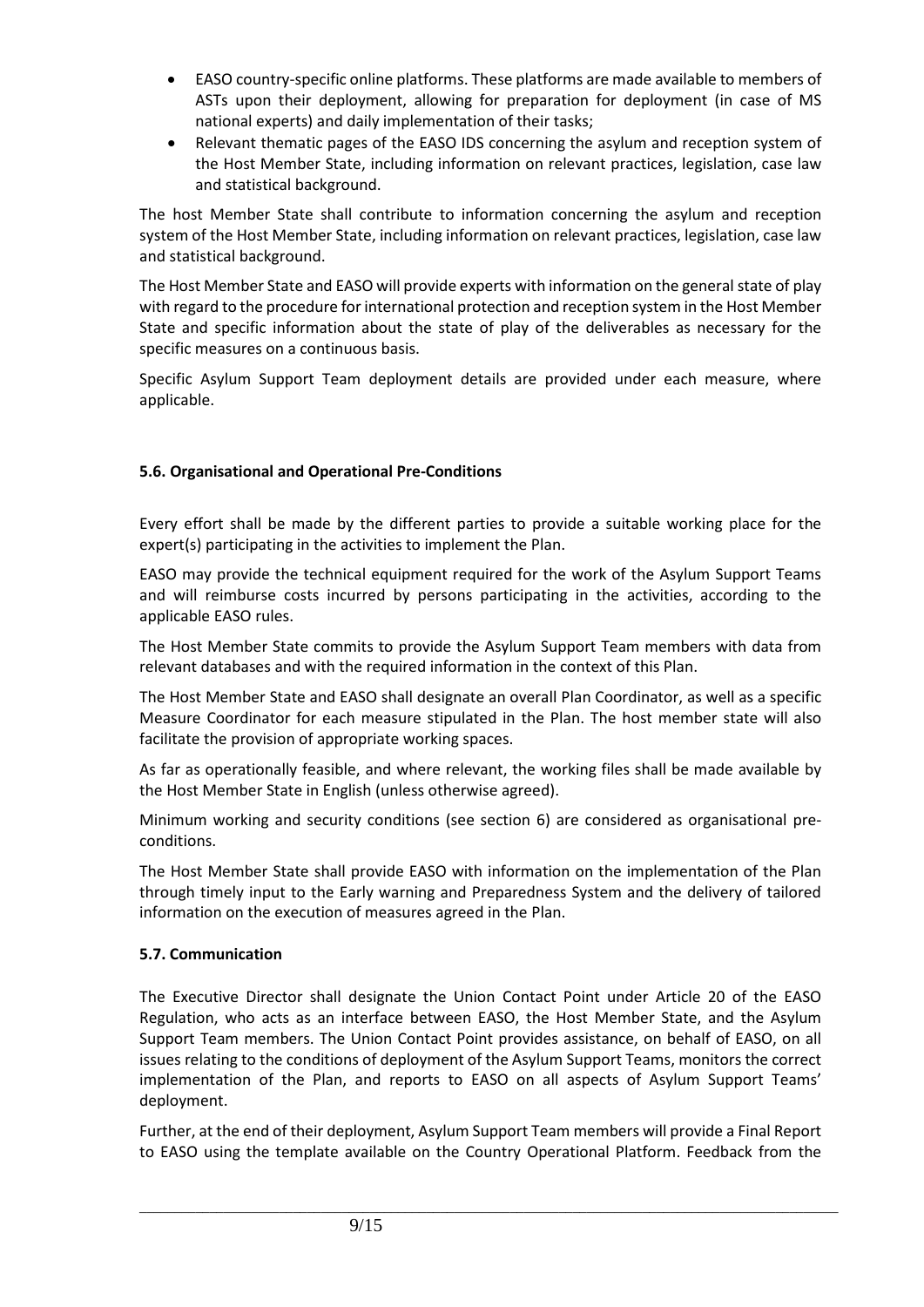- EASO country-specific online platforms. These platforms are made available to members of ASTs upon their deployment, allowing for preparation for deployment (in case of MS national experts) and daily implementation of their tasks;
- Relevant thematic pages of the EASO IDS concerning the asylum and reception system of the Host Member State, including information on relevant practices, legislation, case law and statistical background.

The host Member State shall contribute to information concerning the asylum and reception system of the Host Member State, including information on relevant practices, legislation, case law and statistical background.

The Host Member State and EASO will provide experts with information on the general state of play with regard to the procedure for international protection and reception system in the Host Member State and specific information about the state of play of the deliverables as necessary for the specific measures on a continuous basis.

Specific Asylum Support Team deployment details are provided under each measure, where applicable.

# **5.6. Organisational and Operational Pre-Conditions**

Every effort shall be made by the different parties to provide a suitable working place for the expert(s) participating in the activities to implement the Plan.

EASO may provide the technical equipment required for the work of the Asylum Support Teams and will reimburse costs incurred by persons participating in the activities, according to the applicable EASO rules.

The Host Member State commits to provide the Asylum Support Team members with data from relevant databases and with the required information in the context of this Plan.

The Host Member State and EASO shall designate an overall Plan Coordinator, as well as a specific Measure Coordinator for each measure stipulated in the Plan. The host member state will also facilitate the provision of appropriate working spaces.

As far as operationally feasible, and where relevant, the working files shall be made available by the Host Member State in English (unless otherwise agreed).

Minimum working and security conditions (see section 6) are considered as organisational preconditions.

The Host Member State shall provide EASO with information on the implementation of the Plan through timely input to the Early warning and Preparedness System and the delivery of tailored information on the execution of measures agreed in the Plan.

#### **5.7. Communication**

The Executive Director shall designate the Union Contact Point under Article 20 of the EASO Regulation, who acts as an interface between EASO, the Host Member State, and the Asylum Support Team members. The Union Contact Point provides assistance, on behalf of EASO, on all issues relating to the conditions of deployment of the Asylum Support Teams, monitors the correct implementation of the Plan, and reports to EASO on all aspects of Asylum Support Teams' deployment.

Further, at the end of their deployment, Asylum Support Team members will provide a Final Report to EASO using the template available on the Country Operational Platform. Feedback from the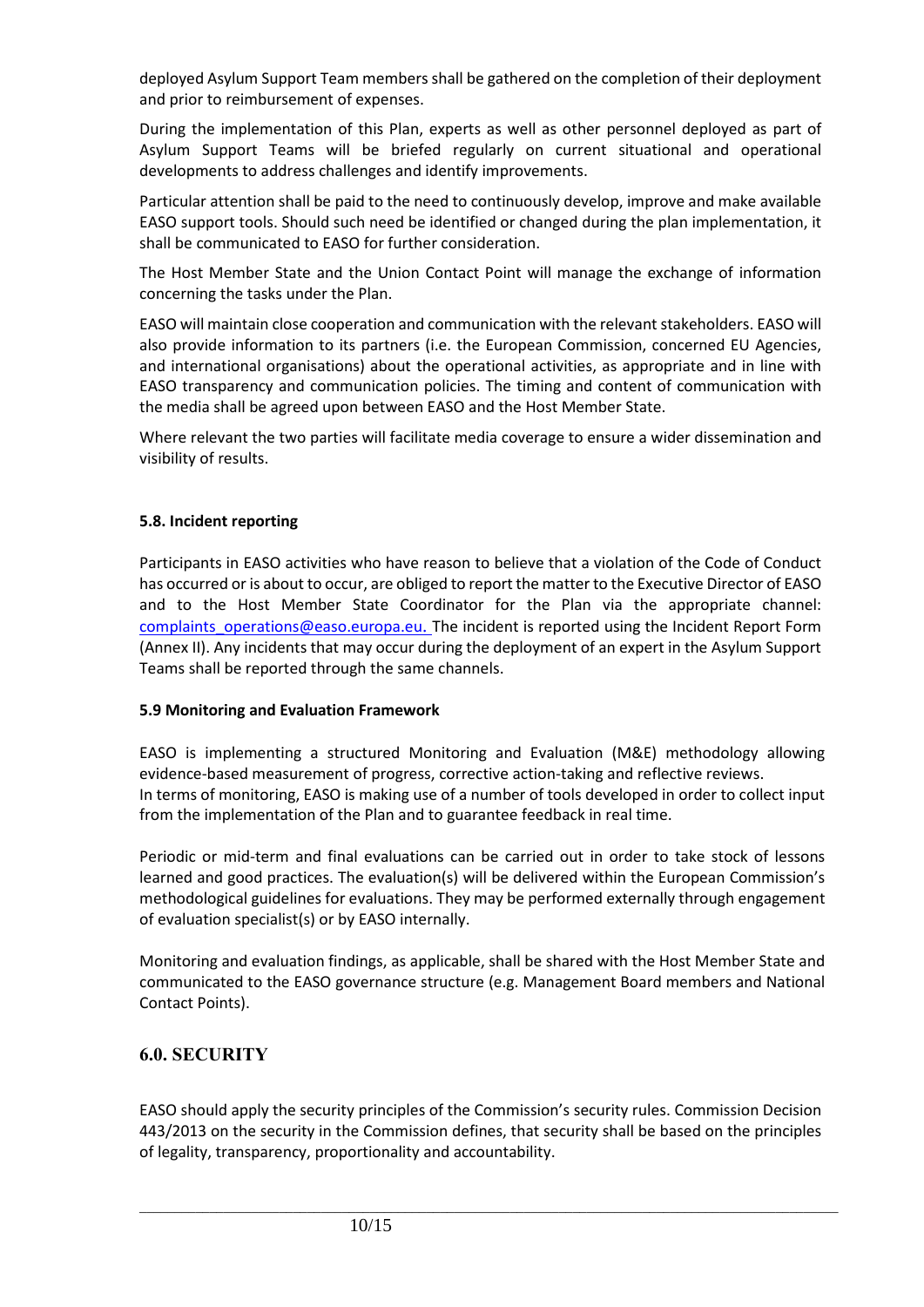deployed Asylum Support Team members shall be gathered on the completion of their deployment and prior to reimbursement of expenses.

During the implementation of this Plan, experts as well as other personnel deployed as part of Asylum Support Teams will be briefed regularly on current situational and operational developments to address challenges and identify improvements.

Particular attention shall be paid to the need to continuously develop, improve and make available EASO support tools. Should such need be identified or changed during the plan implementation, it shall be communicated to EASO for further consideration.

The Host Member State and the Union Contact Point will manage the exchange of information concerning the tasks under the Plan.

EASO will maintain close cooperation and communication with the relevant stakeholders. EASO will also provide information to its partners (i.e. the European Commission, concerned EU Agencies, and international organisations) about the operational activities, as appropriate and in line with EASO transparency and communication policies. The timing and content of communication with the media shall be agreed upon between EASO and the Host Member State.

Where relevant the two parties will facilitate media coverage to ensure a wider dissemination and visibility of results.

#### **5.8. Incident reporting**

Participants in EASO activities who have reason to believe that a violation of the Code of Conduct has occurred or is about to occur, are obliged to report the matter to the Executive Director of EASO and to the Host Member State Coordinator for the Plan via the appropriate [channel:](mailto:channel:%20%20%20operations@easo.europa.eu)  [complaints\\_operations@easo.europa.eu](mailto:channel:%20%20%20operations@easo.europa.eu). The incident is reported using the Incident Report Form (Annex II). Any incidents that may occur during the deployment of an expert in the Asylum Support Teams shall be reported through the same channels.

#### **5.9 Monitoring and Evaluation Framework**

EASO is implementing a structured Monitoring and Evaluation (M&E) methodology allowing evidence-based measurement of progress, corrective action-taking and reflective reviews. In terms of monitoring, EASO is making use of a number of tools developed in order to collect input from the implementation of the Plan and to guarantee feedback in real time.

Periodic or mid-term and final evaluations can be carried out in order to take stock of lessons learned and good practices. The evaluation(s) will be delivered within the European Commission's methodological guidelines for evaluations. They may be performed externally through engagement of evaluation specialist(s) or by EASO internally.

Monitoring and evaluation findings, as applicable, shall be shared with the Host Member State and communicated to the EASO governance structure (e.g. Management Board members and National Contact Points).

# **6.0. SECURITY**

EASO should apply the security principles of the Commission's security rules. Commission Decision 443/2013 on the security in the Commission defines, that security shall be based on the principles of legality, transparency, proportionality and accountability.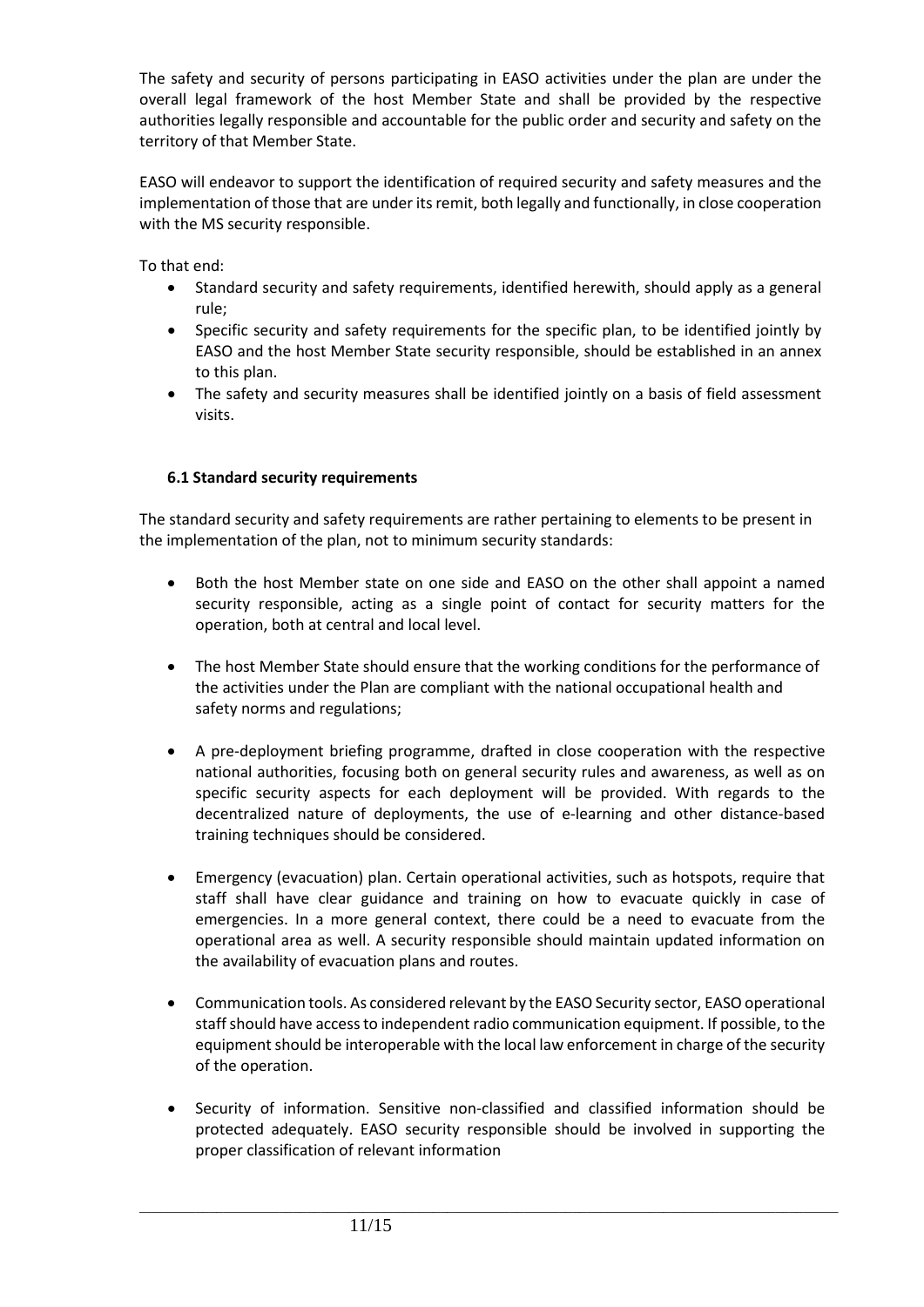The safety and security of persons participating in EASO activities under the plan are under the overall legal framework of the host Member State and shall be provided by the respective authorities legally responsible and accountable for the public order and security and safety on the territory of that Member State.

EASO will endeavor to support the identification of required security and safety measures and the implementation of those that are under its remit, both legally and functionally, in close cooperation with the MS security responsible.

To that end:

- Standard security and safety requirements, identified herewith, should apply as a general rule;
- Specific security and safety requirements for the specific plan, to be identified jointly by EASO and the host Member State security responsible, should be established in an annex to this plan.
- The safety and security measures shall be identified jointly on a basis of field assessment visits.

# **6.1 Standard security requirements**

The standard security and safety requirements are rather pertaining to elements to be present in the implementation of the plan, not to minimum security standards:

- Both the host Member state on one side and EASO on the other shall appoint a named security responsible, acting as a single point of contact for security matters for the operation, both at central and local level.
- The host Member State should ensure that the working conditions for the performance of the activities under the Plan are compliant with the national occupational health and safety norms and regulations;
- A pre-deployment briefing programme, drafted in close cooperation with the respective national authorities, focusing both on general security rules and awareness, as well as on specific security aspects for each deployment will be provided. With regards to the decentralized nature of deployments, the use of e-learning and other distance-based training techniques should be considered.
- Emergency (evacuation) plan. Certain operational activities, such as hotspots, require that staff shall have clear guidance and training on how to evacuate quickly in case of emergencies. In a more general context, there could be a need to evacuate from the operational area as well. A security responsible should maintain updated information on the availability of evacuation plans and routes.
- Communication tools. As considered relevant by the EASO Security sector, EASO operational staff should have access to independent radio communication equipment. If possible, to the equipment should be interoperable with the local law enforcement in charge of the security of the operation.
- Security of information. Sensitive non-classified and classified information should be protected adequately. EASO security responsible should be involved in supporting the proper classification of relevant information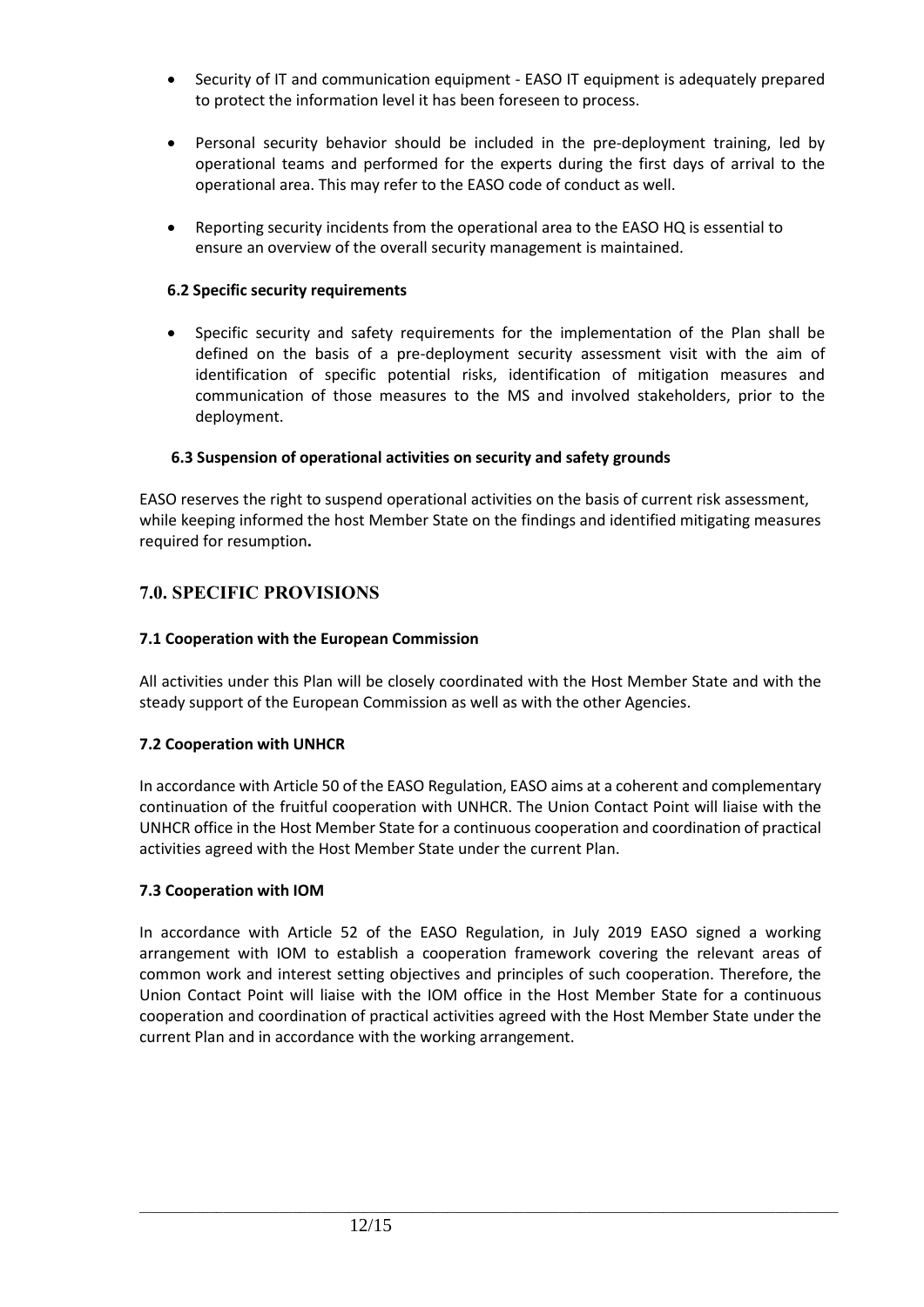- Security of IT and communication equipment EASO IT equipment is adequately prepared to protect the information level it has been foreseen to process.
- Personal security behavior should be included in the pre-deployment training, led by operational teams and performed for the experts during the first days of arrival to the operational area. This may refer to the EASO code of conduct as well.
- Reporting security incidents from the operational area to the EASO HQ is essential to ensure an overview of the overall security management is maintained.

### **6.2 Specific security requirements**

• Specific security and safety requirements for the implementation of the Plan shall be defined on the basis of a pre-deployment security assessment visit with the aim of identification of specific potential risks, identification of mitigation measures and communication of those measures to the MS and involved stakeholders, prior to the deployment.

### **6.3 Suspension of operational activities on security and safety grounds**

EASO reserves the right to suspend operational activities on the basis of current risk assessment, while keeping informed the host Member State on the findings and identified mitigating measures required for resumption**.**

# **7.0. SPECIFIC PROVISIONS**

#### **7.1 Cooperation with the European Commission**

All activities under this Plan will be closely coordinated with the Host Member State and with the steady support of the European Commission as well as with the other Agencies.

#### **7.2 Cooperation with UNHCR**

In accordance with Article 50 of the EASO Regulation, EASO aims at a coherent and complementary continuation of the fruitful cooperation with UNHCR. The Union Contact Point will liaise with the UNHCR office in the Host Member State for a continuous cooperation and coordination of practical activities agreed with the Host Member State under the current Plan.

#### **7.3 Cooperation with IOM**

In accordance with Article 52 of the EASO Regulation, in July 2019 EASO signed a working arrangement with IOM to establish a cooperation framework covering the relevant areas of common work and interest setting objectives and principles of such cooperation. Therefore, the Union Contact Point will liaise with the IOM office in the Host Member State for a continuous cooperation and coordination of practical activities agreed with the Host Member State under the current Plan and in accordance with the working arrangement.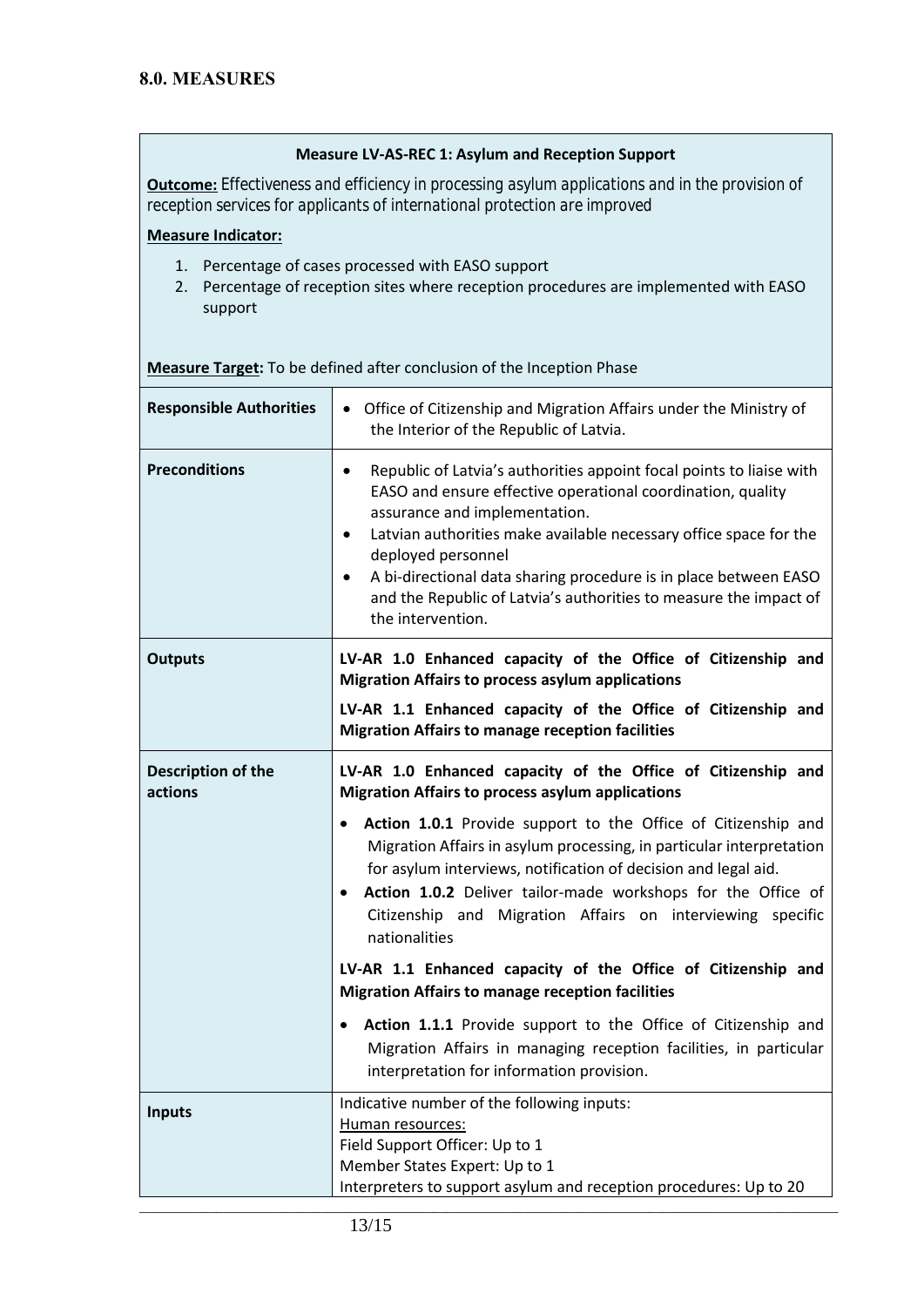### **Measure LV-AS-REC 1: Asylum and Reception Support**

**Outcome:** *Effectiveness and efficiency in processing asylum applications and in the provision of reception services for applicants of international protection are improved*

#### **Measure Indicator:**

- 1. Percentage of cases processed with EASO support
- 2. Percentage of reception sites where reception procedures are implemented with EASO support

| <b>Responsible Authorities</b> | Office of Citizenship and Migration Affairs under the Ministry of<br>$\bullet$<br>the Interior of the Republic of Latvia.                                                                                                                                                                                                                                                                                                                       |
|--------------------------------|-------------------------------------------------------------------------------------------------------------------------------------------------------------------------------------------------------------------------------------------------------------------------------------------------------------------------------------------------------------------------------------------------------------------------------------------------|
| <b>Preconditions</b>           | Republic of Latvia's authorities appoint focal points to liaise with<br>$\bullet$<br>EASO and ensure effective operational coordination, quality<br>assurance and implementation.<br>Latvian authorities make available necessary office space for the<br>٠<br>deployed personnel<br>A bi-directional data sharing procedure is in place between EASO<br>and the Republic of Latvia's authorities to measure the impact of<br>the intervention. |
| <b>Outputs</b>                 | LV-AR 1.0 Enhanced capacity of the Office of Citizenship and<br><b>Migration Affairs to process asylum applications</b>                                                                                                                                                                                                                                                                                                                         |
|                                | LV-AR 1.1 Enhanced capacity of the Office of Citizenship and<br><b>Migration Affairs to manage reception facilities</b>                                                                                                                                                                                                                                                                                                                         |
| Description of the<br>actions  | LV-AR 1.0 Enhanced capacity of the Office of Citizenship and<br><b>Migration Affairs to process asylum applications</b>                                                                                                                                                                                                                                                                                                                         |
|                                | Action 1.0.1 Provide support to the Office of Citizenship and<br>$\bullet$<br>Migration Affairs in asylum processing, in particular interpretation<br>for asylum interviews, notification of decision and legal aid.<br>Action 1.0.2 Deliver tailor-made workshops for the Office of<br>$\bullet$<br>Citizenship and Migration Affairs on interviewing specific<br>nationalities                                                                |
|                                | LV-AR 1.1 Enhanced capacity of the Office of Citizenship and<br><b>Migration Affairs to manage reception facilities</b>                                                                                                                                                                                                                                                                                                                         |
|                                | Action 1.1.1 Provide support to the Office of Citizenship and<br>٠<br>Migration Affairs in managing reception facilities, in particular<br>interpretation for information provision.                                                                                                                                                                                                                                                            |
| <b>Inputs</b>                  | Indicative number of the following inputs:<br>Human resources:<br>Field Support Officer: Up to 1<br>Member States Expert: Up to 1<br>Interpreters to support asylum and reception procedures: Up to 20                                                                                                                                                                                                                                          |

**Measure Target:** To be defined after conclusion of the Inception Phase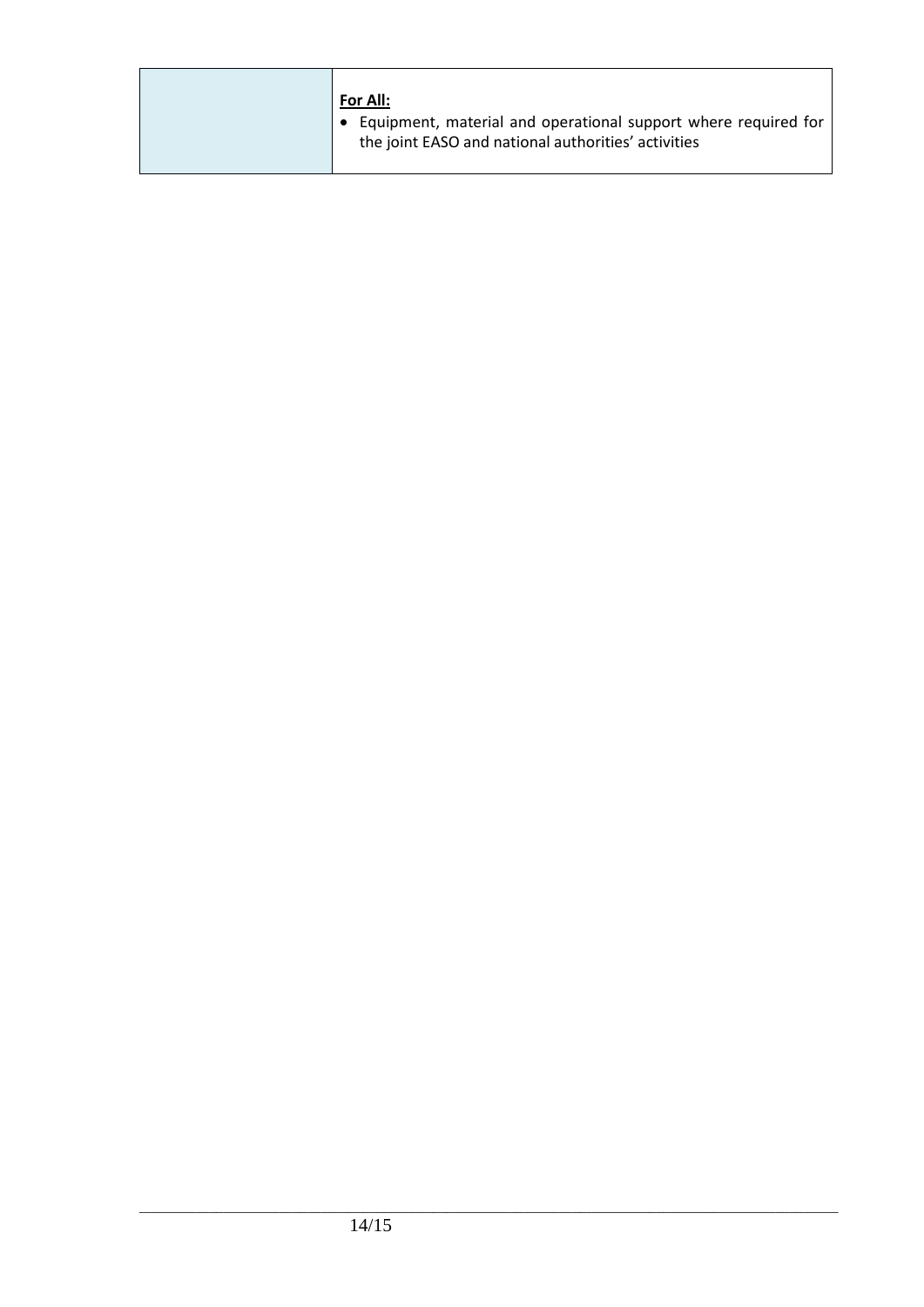| For All:                                                                                                                |
|-------------------------------------------------------------------------------------------------------------------------|
| • Equipment, material and operational support where required for<br>the joint EASO and national authorities' activities |